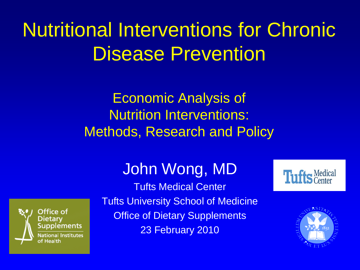# Nutritional Interventions for Chronic Disease Prevention

Economic Analysis of Nutrition Interventions: Methods, Research and Policy

#### John Wong, MD



Tufts Medical Center Tufts University School of Medicine **Office of Dietary Supplements** 23 February 2010



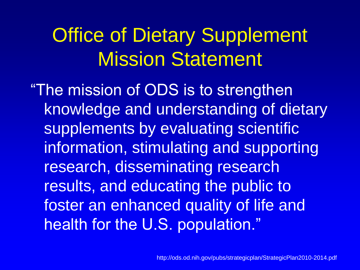### Office of Dietary Supplement Mission Statement

"The mission of ODS is to strengthen knowledge and understanding of dietary supplements by evaluating scientific information, stimulating and supporting research, disseminating research results, and educating the public to foster an enhanced quality of life and health for the U.S. population."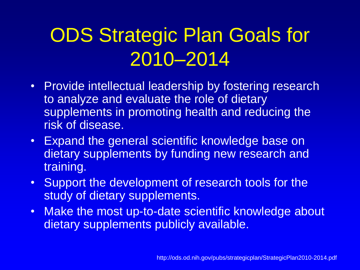# ODS Strategic Plan Goals for 2010–2014

- Provide intellectual leadership by fostering research to analyze and evaluate the role of dietary supplements in promoting health and reducing the risk of disease.
- Expand the general scientific knowledge base on dietary supplements by funding new research and training.
- Support the development of research tools for the study of dietary supplements.
- Make the most up-to-date scientific knowledge about dietary supplements publicly available.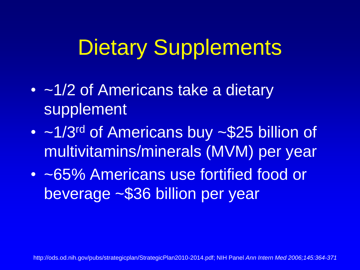# Dietary Supplements

- ~1/2 of Americans take a dietary supplement
- ~1/3<sup>rd</sup> of Americans buy ~\$25 billion of multivitamins/minerals (MVM) per year
- ~65% Americans use fortified food or beverage ~\$36 billion per year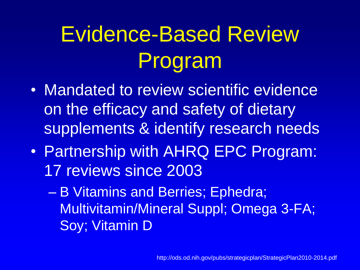# Evidence-Based Review Program

- Mandated to review scientific evidence on the efficacy and safety of dietary supplements & identify research needs
- Partnership with AHRQ EPC Program: 17 reviews since 2003
	- B Vitamins and Berries; Ephedra; Multivitamin/Mineral Suppl; Omega 3-FA; Soy; Vitamin D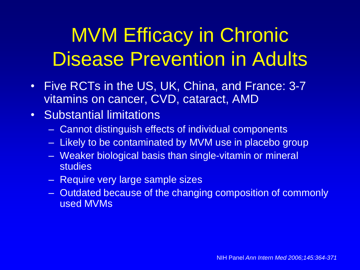# MVM Efficacy in Chronic Disease Prevention in Adults

- Five RCTs in the US, UK, China, and France: 3-7 vitamins on cancer, CVD, cataract, AMD
- Substantial limitations
	- Cannot distinguish effects of individual components
	- Likely to be contaminated by MVM use in placebo group
	- Weaker biological basis than single-vitamin or mineral studies
	- Require very large sample sizes
	- Outdated because of the changing composition of commonly used MVMs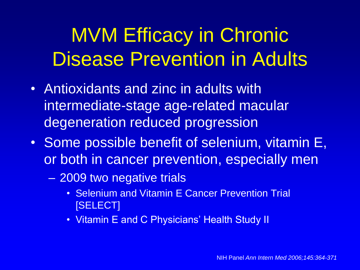# MVM Efficacy in Chronic Disease Prevention in Adults

- Antioxidants and zinc in adults with intermediate-stage age-related macular degeneration reduced progression
- Some possible benefit of selenium, vitamin E, or both in cancer prevention, especially men
	- 2009 two negative trials
		- Selenium and Vitamin E Cancer Prevention Trial [SELECT]
		- Vitamin E and C Physicians' Health Study II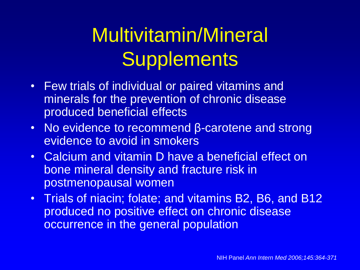# Multivitamin/Mineral **Supplements**

- Few trials of individual or paired vitamins and minerals for the prevention of chronic disease produced beneficial effects
- No evidence to recommend β-carotene and strong evidence to avoid in smokers
- Calcium and vitamin D have a beneficial effect on bone mineral density and fracture risk in postmenopausal women
- Trials of niacin; folate; and vitamins B2, B6, and B12 produced no positive effect on chronic disease occurrence in the general population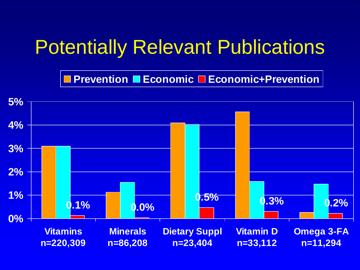#### Potentially Relevant Publications

**Prevention ■ Economic □ Economic+Prevention** 

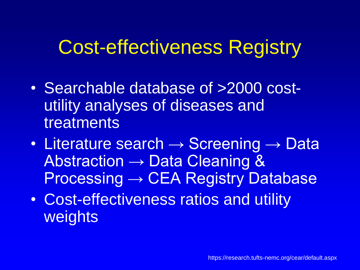#### Cost-effectiveness Registry

- Searchable database of >2000 costutility analyses of diseases and treatments
- Literature search  $\rightarrow$  Screening  $\rightarrow$  Data Abstraction → Data Cleaning & Processing → CEA Registry Database
- Cost-effectiveness ratios and utility weights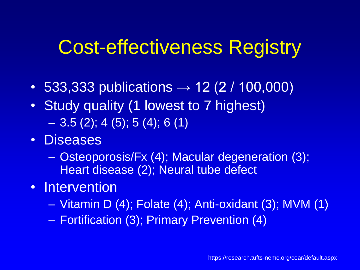#### Cost-effectiveness Registry

- 533,333 publications  $\rightarrow$  12 (2 / 100,000)
- Study quality (1 lowest to 7 highest)  $-3.5(2)$ ; 4 (5); 5 (4); 6 (1)
- Diseases
	- Osteoporosis/Fx (4); Macular degeneration (3); Heart disease (2); Neural tube defect
- Intervention
	- Vitamin D (4); Folate (4); Anti-oxidant (3); MVM (1)
	- Fortification (3); Primary Prevention (4)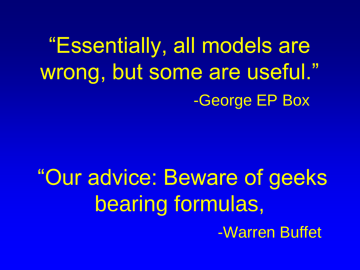―Essentially, all models are wrong, but some are useful." -George EP Box

"Our advice: Beware of geeks bearing formulas, -Warren Buffet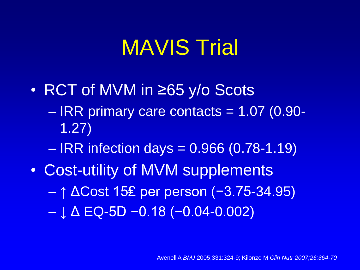# MAVIS Trial

- RCT of MVM in ≥65 y/o Scots – IRR primary care contacts = 1.07 (0.90- 1.27)
	- $-$  IRR infection days = 0.966 (0.78-1.19)
- Cost-utility of MVM supplements – ↑ ΔCost 15₤ per person (−3.75-34.95) – ↓ Δ EQ-5D −0.18 (−0.04-0.002)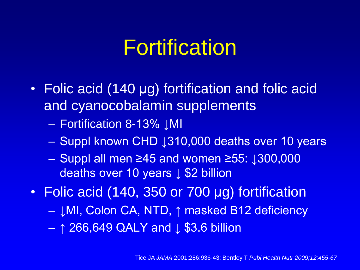# Fortification

- Folic acid (140 μg) fortification and folic acid and cyanocobalamin supplements
	- Fortification 8-13% ↓MI
	- Suppl known CHD ↓310,000 deaths over 10 years
	- Suppl all men ≥45 and women ≥55: ↓300,000 deaths over 10 years ↓ \$2 billion
- Folic acid (140, 350 or 700 μg) fortification
	- ↓MI, Colon CA, NTD, ↑ masked B12 deficiency
	- ↑ 266,649 QALY and ↓ \$3.6 billion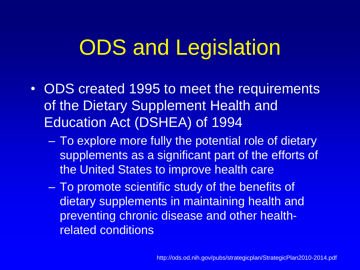# ODS and Legislation

- ODS created 1995 to meet the requirements of the Dietary Supplement Health and Education Act (DSHEA) of 1994
	- To explore more fully the potential role of dietary supplements as a significant part of the efforts of the United States to improve health care
	- To promote scientific study of the benefits of dietary supplements in maintaining health and preventing chronic disease and other healthrelated conditions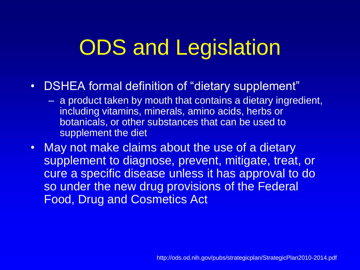# ODS and Legislation

- DSHEA formal definition of "dietary supplement"
	- a product taken by mouth that contains a dietary ingredient, including vitamins, minerals, amino acids, herbs or botanicals, or other substances that can be used to supplement the diet
- May not make claims about the use of a dietary supplement to diagnose, prevent, mitigate, treat, or cure a specific disease unless it has approval to do so under the new drug provisions of the Federal Food, Drug and Cosmetics Act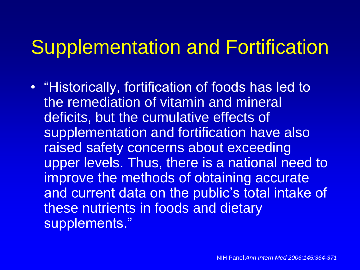#### Supplementation and Fortification

• "Historically, fortification of foods has led to the remediation of vitamin and mineral deficits, but the cumulative effects of supplementation and fortification have also raised safety concerns about exceeding upper levels. Thus, there is a national need to improve the methods of obtaining accurate and current data on the public's total intake of these nutrients in foods and dietary supplements."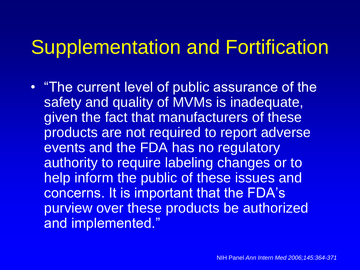#### Supplementation and Fortification

• "The current level of public assurance of the safety and quality of MVMs is inadequate, given the fact that manufacturers of these products are not required to report adverse events and the FDA has no regulatory authority to require labeling changes or to help inform the public of these issues and concerns. It is important that the FDA's purview over these products be authorized and implemented."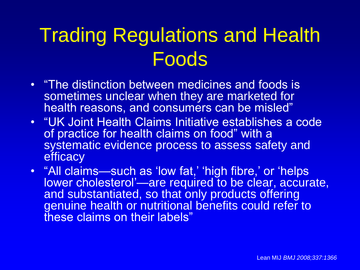### Trading Regulations and Health Foods

- "The distinction between medicines and foods is sometimes unclear when they are marketed for health reasons, and consumers can be misled"
- "UK Joint Health Claims Initiative establishes a code of practice for health claims on food" with a systematic evidence process to assess safety and **efficacy**
- "All claims—such as 'low fat,' 'high fibre,' or 'helps lower cholesterol'—are required to be clear, accurate, and substantiated, so that only products offering genuine health or nutritional benefits could refer to these claims on their labels"